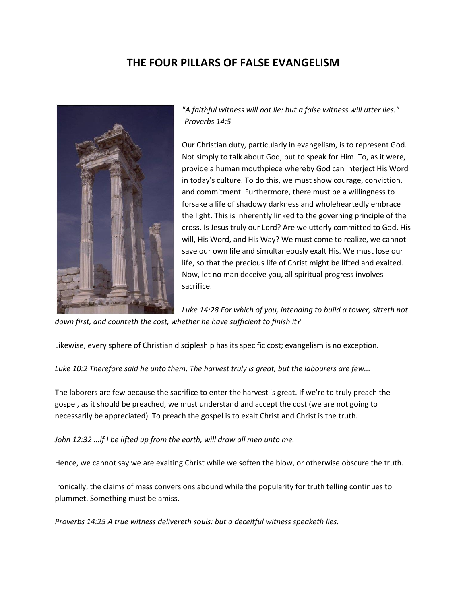# **THE FOUR PILLARS OF FALSE EVANGELISM**



*"A faithful witness will not lie: but a false witness will utter lies." -Proverbs 14:5*

Our Christian duty, particularly in evangelism, is to represent God. Not simply to talk about God, but to speak for Him. To, as it were, provide a human mouthpiece whereby God can interject His Word in today's culture. To do this, we must show courage, conviction, and commitment. Furthermore, there must be a willingness to forsake a life of shadowy darkness and wholeheartedly embrace the light. This is inherently linked to the governing principle of the cross. Is Jesus truly our Lord? Are we utterly committed to God, His will, His Word, and His Way? We must come to realize, we cannot save our own life and simultaneously exalt His. We must lose our life, so that the precious life of Christ might be lifted and exalted. Now, let no man deceive you, all spiritual progress involves sacrifice.

*Luke 14:28 For which of you, intending to build a tower, sitteth not down first, and counteth the cost, whether he have sufficient to finish it?*

Likewise, every sphere of Christian discipleship has its specific cost; evangelism is no exception.

*Luke 10:2 Therefore said he unto them, The harvest truly is great, but the labourers are few...*

The laborers are few because the sacrifice to enter the harvest is great. If we're to truly preach the gospel, as it should be preached, we must understand and accept the cost (we are not going to necessarily be appreciated). To preach the gospel is to exalt Christ and Christ is the truth.

*John 12:32 ...if I be lifted up from the earth, will draw all men unto me.*

Hence, we cannot say we are exalting Christ while we soften the blow, or otherwise obscure the truth.

Ironically, the claims of mass conversions abound while the popularity for truth telling continues to plummet. Something must be amiss.

*Proverbs 14:25 A true witness delivereth souls: but a deceitful witness speaketh lies.*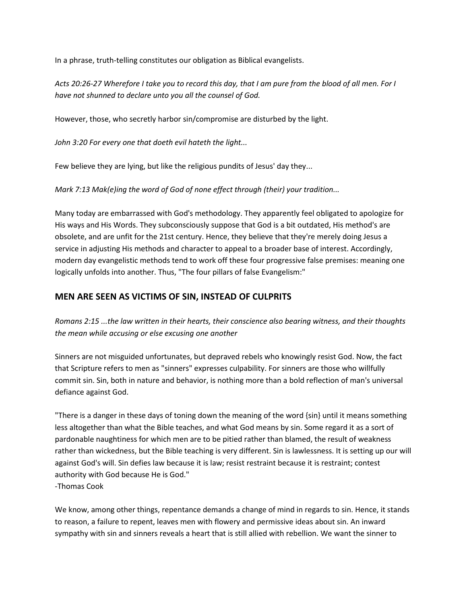In a phrase, truth-telling constitutes our obligation as Biblical evangelists.

*Acts 20:26-27 Wherefore I take you to record this day, that I am pure from the blood of all men. For I have not shunned to declare unto you all the counsel of God.*

However, those, who secretly harbor sin/compromise are disturbed by the light.

*John 3:20 For every one that doeth evil hateth the light...*

Few believe they are lying, but like the religious pundits of Jesus' day they...

*Mark 7:13 Mak(e)ing the word of God of none effect through (their) your tradition...*

Many today are embarrassed with God's methodology. They apparently feel obligated to apologize for His ways and His Words. They subconsciously suppose that God is a bit outdated, His method's are obsolete, and are unfit for the 21st century. Hence, they believe that they're merely doing Jesus a service in adjusting His methods and character to appeal to a broader base of interest. Accordingly, modern day evangelistic methods tend to work off these four progressive false premises: meaning one logically unfolds into another. Thus, "The four pillars of false Evangelism:"

### **MEN ARE SEEN AS VICTIMS OF SIN, INSTEAD OF CULPRITS**

*Romans 2:15 ...the law written in their hearts, their conscience also bearing witness, and their thoughts the mean while accusing or else excusing one another*

Sinners are not misguided unfortunates, but depraved rebels who knowingly resist God. Now, the fact that Scripture refers to men as "sinners" expresses culpability. For sinners are those who willfully commit sin. Sin, both in nature and behavior, is nothing more than a bold reflection of man's universal defiance against God.

"There is a danger in these days of toning down the meaning of the word {sin} until it means something less altogether than what the Bible teaches, and what God means by sin. Some regard it as a sort of pardonable naughtiness for which men are to be pitied rather than blamed, the result of weakness rather than wickedness, but the Bible teaching is very different. Sin is lawlessness. It is setting up our will against God's will. Sin defies law because it is law; resist restraint because it is restraint; contest authority with God because He is God." -Thomas Cook

We know, among other things, repentance demands a change of mind in regards to sin. Hence, it stands to reason, a failure to repent, leaves men with flowery and permissive ideas about sin. An inward sympathy with sin and sinners reveals a heart that is still allied with rebellion. We want the sinner to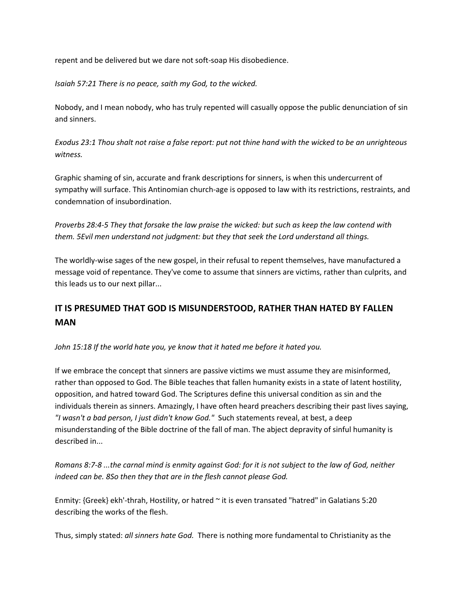repent and be delivered but we dare not soft-soap His disobedience.

*Isaiah 57:21 There is no peace, saith my God, to the wicked.*

Nobody, and I mean nobody, who has truly repented will casually oppose the public denunciation of sin and sinners.

*Exodus 23:1 Thou shalt not raise a false report: put not thine hand with the wicked to be an unrighteous witness.*

Graphic shaming of sin, accurate and frank descriptions for sinners, is when this undercurrent of sympathy will surface. This Antinomian church-age is opposed to law with its restrictions, restraints, and condemnation of insubordination.

*Proverbs 28:4-5 They that forsake the law praise the wicked: but such as keep the law contend with them. 5Evil men understand not judgment: but they that seek the Lord understand all things.*

The worldly-wise sages of the new gospel, in their refusal to repent themselves, have manufactured a message void of repentance. They've come to assume that sinners are victims, rather than culprits, and this leads us to our next pillar...

### **IT IS PRESUMED THAT GOD IS MISUNDERSTOOD, RATHER THAN HATED BY FALLEN MAN**

*John 15:18 If the world hate you, ye know that it hated me before it hated you.*

If we embrace the concept that sinners are passive victims we must assume they are misinformed, rather than opposed to God. The Bible teaches that fallen humanity exists in a state of latent hostility, opposition, and hatred toward God. The Scriptures define this universal condition as sin and the individuals therein as sinners. Amazingly, I have often heard preachers describing their past lives saying, *"I wasn't a bad person, I just didn't know God."* Such statements reveal, at best, a deep misunderstanding of the Bible doctrine of the fall of man. The abject depravity of sinful humanity is described in...

*Romans 8:7-8 ...the carnal mind is enmity against God: for it is not subject to the law of God, neither indeed can be. 8So then they that are in the flesh cannot please God.*

Enmity: {Greek} ekh'-thrah, Hostility, or hatred ~ it is even transated "hatred" in Galatians 5:20 describing the works of the flesh.

Thus, simply stated: *all sinners hate God.* There is nothing more fundamental to Christianity as the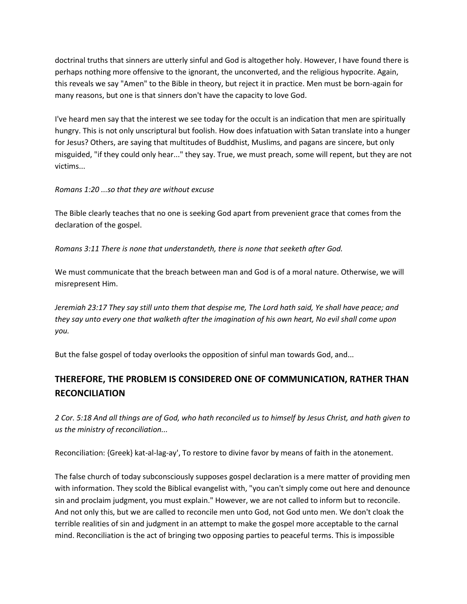doctrinal truths that sinners are utterly sinful and God is altogether holy. However, I have found there is perhaps nothing more offensive to the ignorant, the unconverted, and the religious hypocrite. Again, this reveals we say "Amen" to the Bible in theory, but reject it in practice. Men must be born-again for many reasons, but one is that sinners don't have the capacity to love God.

I've heard men say that the interest we see today for the occult is an indication that men are spiritually hungry. This is not only unscriptural but foolish. How does infatuation with Satan translate into a hunger for Jesus? Others, are saying that multitudes of Buddhist, Muslims, and pagans are sincere, but only misguided, "if they could only hear..." they say. True, we must preach, some will repent, but they are not victims...

#### *Romans 1:20 ...so that they are without excuse*

The Bible clearly teaches that no one is seeking God apart from prevenient grace that comes from the declaration of the gospel.

*Romans 3:11 There is none that understandeth, there is none that seeketh after God.*

We must communicate that the breach between man and God is of a moral nature. Otherwise, we will misrepresent Him.

*Jeremiah 23:17 They say still unto them that despise me, The Lord hath said, Ye shall have peace; and they say unto every one that walketh after the imagination of his own heart, No evil shall come upon you.*

But the false gospel of today overlooks the opposition of sinful man towards God, and...

## **THEREFORE, THE PROBLEM IS CONSIDERED ONE OF COMMUNICATION, RATHER THAN RECONCILIATION**

*2 Cor. 5:18 And all things are of God, who hath reconciled us to himself by Jesus Christ, and hath given to us the ministry of reconciliation...*

Reconciliation: {Greek} kat-al-lag-ay', To restore to divine favor by means of faith in the atonement.

The false church of today subconsciously supposes gospel declaration is a mere matter of providing men with information. They scold the Biblical evangelist with, "you can't simply come out here and denounce sin and proclaim judgment, you must explain." However, we are not called to inform but to reconcile. And not only this, but we are called to reconcile men unto God, not God unto men. We don't cloak the terrible realities of sin and judgment in an attempt to make the gospel more acceptable to the carnal mind. Reconciliation is the act of bringing two opposing parties to peaceful terms. This is impossible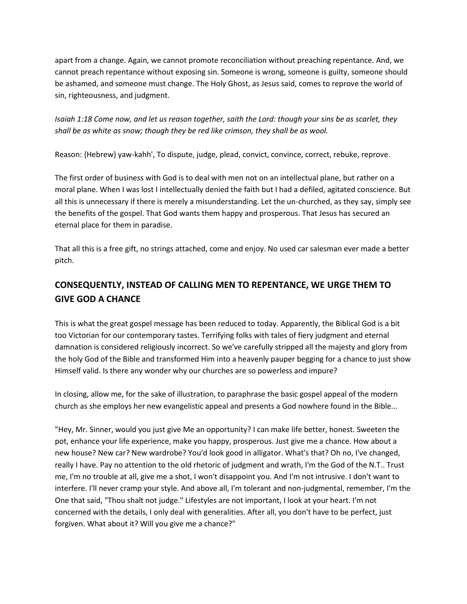apart from a change. Again, we cannot promote reconciliation without preaching repentance. And, we cannot preach repentance without exposing sin. Someone is wrong, someone is guilty, someone should be ashamed, and someone must change. The Holy Ghost, as Jesus said, comes to reprove the world of sin, righteousness, and judgment.

*Isaiah 1:18 Come now, and let us reason together, saith the Lord: though your sins be as scarlet, they shall be as white as snow; though they be red like crimson, they shall be as wool.*

Reason: {Hebrew} yaw-kahh', To dispute, judge, plead, convict, convince, correct, rebuke, reprove.

The first order of business with God is to deal with men not on an intellectual plane, but rather on a moral plane. When I was lost I intellectually denied the faith but I had a defiled, agitated conscience. But all this is unnecessary if there is merely a misunderstanding. Let the un-churched, as they say, simply see the benefits of the gospel. That God wants them happy and prosperous. That Jesus has secured an eternal place for them in paradise.

That all this is a free gift, no strings attached, come and enjoy. No used car salesman ever made a better pitch.

# **CONSEQUENTLY, INSTEAD OF CALLING MEN TO REPENTANCE, WE URGE THEM TO GIVE GOD A CHANCE**

This is what the great gospel message has been reduced to today. Apparently, the Biblical God is a bit too Victorian for our contemporary tastes. Terrifying folks with tales of fiery judgment and eternal damnation is considered religiously incorrect. So we've carefully stripped all the majesty and glory from the holy God of the Bible and transformed Him into a heavenly pauper begging for a chance to just show Himself valid. Is there any wonder why our churches are so powerless and impure?

In closing, allow me, for the sake of illustration, to paraphrase the basic gospel appeal of the modern church as she employs her new evangelistic appeal and presents a God nowhere found in the Bible...

"Hey, Mr. Sinner, would you just give Me an opportunity? I can make life better, honest. Sweeten the pot, enhance your life experience, make you happy, prosperous. Just give me a chance. How about a new house? New car? New wardrobe? You'd look good in alligator. What's that? Oh no, I've changed, really I have. Pay no attention to the old rhetoric of judgment and wrath, I'm the God of the N.T.. Trust me, I'm no trouble at all, give me a shot, I won't disappoint you. And I'm not intrusive. I don't want to interfere. I'll never cramp your style. And above all, I'm tolerant and non-judgmental, remember, I'm the One that said, "Thou shalt not judge." Lifestyles are not important, I look at your heart. I'm not concerned with the details, I only deal with generalities. After all, you don't have to be perfect, just forgiven. What about it? Will you give me a chance?"